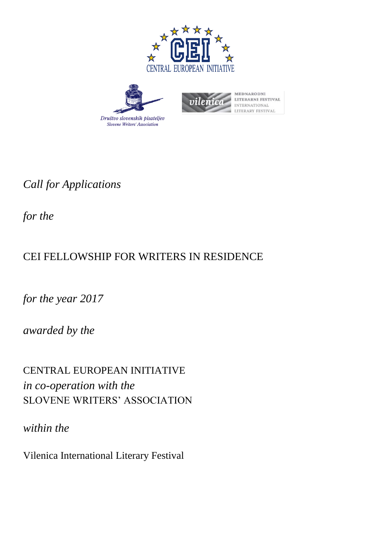





**MEDNARODNI** LITERARNI FESTIVAL **NTERNATIONAL LITERARY FESTIVAL** 

*Call for Applications* 

*for the*

# CEI FELLOWSHIP FOR WRITERS IN RESIDENCE

*for the year 2017*

*awarded by the*

CENTRAL EUROPEAN INITIATIVE *in co-operation with the* SLOVENE WRITERS' ASSOCIATION

*within the* 

Vilenica International Literary Festival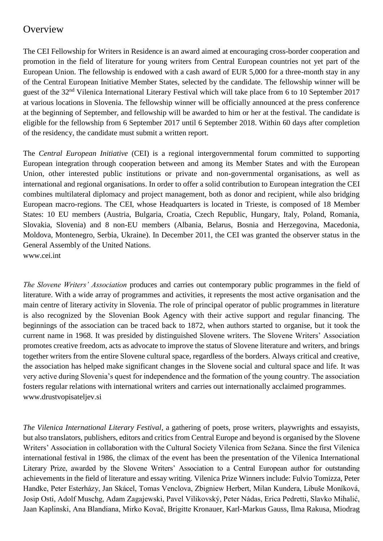### **Overview**

The CEI Fellowship for Writers in Residence is an award aimed at encouraging cross-border cooperation and promotion in the field of literature for young writers from Central European countries not yet part of the European Union. The fellowship is endowed with a cash award of EUR 5,000 for a three-month stay in any of the Central European Initiative Member States, selected by the candidate. The fellowship winner will be guest of the 32<sup>nd</sup> Vilenica International Literary Festival which will take place from 6 to 10 September 2017 at various locations in Slovenia. The fellowship winner will be officially announced at the press conference at the beginning of September, and fellowship will be awarded to him or her at the festival. The candidate is eligible for the fellowship from 6 September 2017 until 6 September 2018. Within 60 days after completion of the residency, the candidate must submit a written report.

The *Central European Initiative* (CEI) is a regional intergovernmental forum committed to supporting European integration through cooperation between and among its Member States and with the European Union, other interested public institutions or private and non-governmental organisations, as well as international and regional organisations. In order to offer a solid contribution to European integration the CEI combines multilateral diplomacy and project management, both as donor and recipient, while also bridging European macro-regions. The CEI, whose Headquarters is located in Trieste, is composed of 18 Member States: 10 EU members (Austria, Bulgaria, Croatia, Czech Republic, Hungary, Italy, Poland, Romania, Slovakia, Slovenia) and 8 non-EU members (Albania, Belarus, Bosnia and Herzegovina, Macedonia, Moldova, Montenegro, Serbia, Ukraine). In December 2011, the CEI was granted the observer status in the General Assembly of the United Nations. [www.cei.int](http://www.cei.int/)

*The Slovene Writers' Association* produces and carries out contemporary public programmes in the field of literature. With a wide array of programmes and activities, it represents the most active organisation and the main centre of literary activity in Slovenia. The role of principal operator of public programmes in literature is also recognized by the Slovenian Book Agency with their active support and regular financing. The beginnings of the association can be traced back to 1872, when authors started to organise, but it took the current name in 1968. It was presided by distinguished Slovene writers. The Slovene Writers' Association promotes creative freedom, acts as advocate to improve the status of Slovene literature and writers, and brings together writers from the entire Slovene cultural space, regardless of the borders. Always critical and creative, the association has helped make significant changes in the Slovene social and cultural space and life. It was very active during Slovenia's quest for independence and the formation of the young country. The association fosters regular relations with international writers and carries out internationally acclaimed programmes. [www.drustvopisateljev.si](http://www.drustvopisateljev.si/)

*The Vilenica International Literary Festival*, a gathering of poets, prose writers, playwrights and essayists, but also translators, publishers, editors and critics from Central Europe and beyond is organised by the Slovene Writers' Association in collaboration with the Cultural Society Vilenica from Sežana. Since the first Vilenica international festival in 1986, the climax of the event has been the presentation of the Vilenica International Literary Prize, awarded by the Slovene Writers' Association to a Central European author for outstanding achievements in the field of literature and essay writing. Vilenica Prize Winners include: Fulvio Tomizza, Peter Handke, Peter Esterházy, Jan Skácel, Tomas Venclova, Zbigniew Herbert, Milan Kundera, Libuše Moníková, Josip Osti, Adolf Muschg, Adam Zagajewski, Pavel Vilikovský, Peter Nádas, Erica Pedretti, Slavko Mihalić, Jaan Kaplinski, Ana Blandiana, Mirko Kovač, Brigitte Kronauer, Karl-Markus Gauss, Ilma Rakusa, Miodrag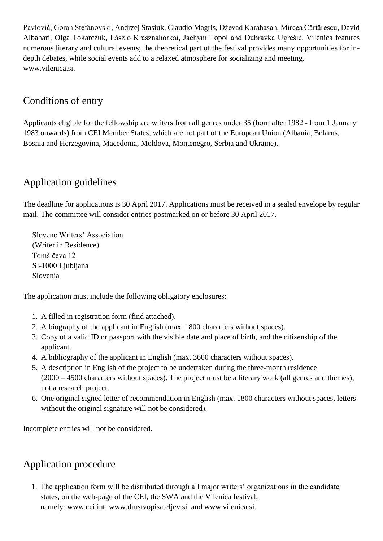Pavlović, Goran Stefanovski, Andrzej Stasiuk, Claudio Magris, Dževad Karahasan, Mircea Cărtărescu, David Albahari, Olga Tokarczuk, László Krasznahorkai, Jáchym Topol and Dubravka Ugrešić. Vilenica features numerous literary and cultural events; the theoretical part of the festival provides many opportunities for indepth debates, while social events add to a relaxed atmosphere for socializing and meeting. www.vilenica.si.

# Conditions of entry

Applicants eligible for the fellowship are writers from all genres under 35 (born after 1982 - from 1 January 1983 onwards) from CEI Member States, which are not part of the European Union (Albania, Belarus, Bosnia and Herzegovina, Macedonia, Moldova, Montenegro, Serbia and Ukraine).

# Application guidelines

The deadline for applications is 30 April 2017. Applications must be received in a sealed envelope by regular mail. The committee will consider entries postmarked on or before 30 April 2017.

Slovene Writers' Association (Writer in Residence) Tomšičeva 12 SI-1000 Ljubljana Slovenia

The application must include the following obligatory enclosures:

- 1. A filled in registration form (find attached).
- 2. A biography of the applicant in English (max. 1800 characters without spaces).
- 3. Copy of a valid ID or passport with the visible date and place of birth, and the citizenship of the applicant.
- 4. A bibliography of the applicant in English (max. 3600 characters without spaces).
- 5. A description in English of the project to be undertaken during the three-month residence (2000 – 4500 characters without spaces). The project must be a literary work (all genres and themes), not a research project.
- 6. One original signed letter of recommendation in English (max. 1800 characters without spaces, letters without the original signature will not be considered).

Incomplete entries will not be considered.

### Application procedure

1. The application form will be distributed through all major writers' organizations in the candidate states, on the web-page of the CEI, the SWA and the Vilenica festival, namely: [www.cei.int,](http://www.cei.int/) [www.drustvopisateljev.si](http://www.drustvopisateljev.si/) and www.vilenica.si.